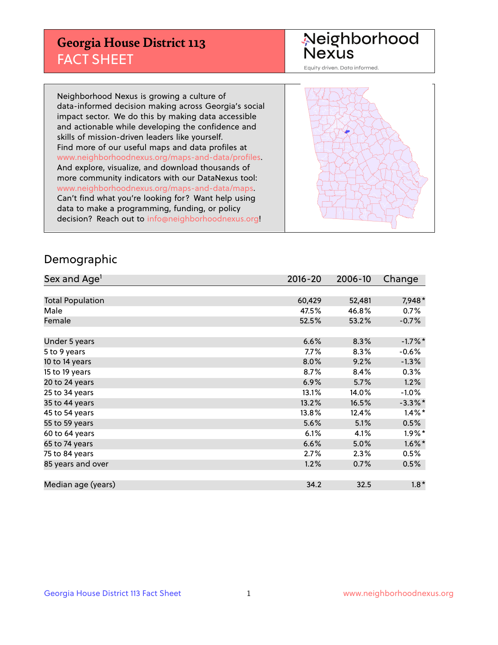## **Georgia House District 113** FACT SHEET

# Neighborhood<br>Nexus

Equity driven. Data informed.

Neighborhood Nexus is growing a culture of data-informed decision making across Georgia's social impact sector. We do this by making data accessible and actionable while developing the confidence and skills of mission-driven leaders like yourself. Find more of our useful maps and data profiles at www.neighborhoodnexus.org/maps-and-data/profiles. And explore, visualize, and download thousands of more community indicators with our DataNexus tool: www.neighborhoodnexus.org/maps-and-data/maps. Can't find what you're looking for? Want help using data to make a programming, funding, or policy decision? Reach out to [info@neighborhoodnexus.org!](mailto:info@neighborhoodnexus.org)



#### Demographic

| Sex and Age <sup>1</sup> | $2016 - 20$ | 2006-10 | Change     |
|--------------------------|-------------|---------|------------|
|                          |             |         |            |
| <b>Total Population</b>  | 60,429      | 52,481  | 7,948*     |
| Male                     | 47.5%       | 46.8%   | 0.7%       |
| Female                   | 52.5%       | 53.2%   | $-0.7%$    |
|                          |             |         |            |
| Under 5 years            | 6.6%        | 8.3%    | $-1.7%$ *  |
| 5 to 9 years             | 7.7%        | 8.3%    | $-0.6%$    |
| 10 to 14 years           | 8.0%        | 9.2%    | $-1.3%$    |
| 15 to 19 years           | 8.7%        | 8.4%    | 0.3%       |
| 20 to 24 years           | 6.9%        | 5.7%    | 1.2%       |
| 25 to 34 years           | 13.1%       | 14.0%   | $-1.0%$    |
| 35 to 44 years           | 13.2%       | 16.5%   | $-3.3\%$ * |
| 45 to 54 years           | 13.8%       | 12.4%   | $1.4\%$ *  |
| 55 to 59 years           | 5.6%        | 5.1%    | 0.5%       |
| 60 to 64 years           | 6.1%        | 4.1%    | $1.9\%$ *  |
| 65 to 74 years           | 6.6%        | 5.0%    | $1.6\%$ *  |
| 75 to 84 years           | 2.7%        | 2.3%    | 0.5%       |
| 85 years and over        | 1.2%        | 0.7%    | 0.5%       |
|                          |             |         |            |
| Median age (years)       | 34.2        | 32.5    | $1.8*$     |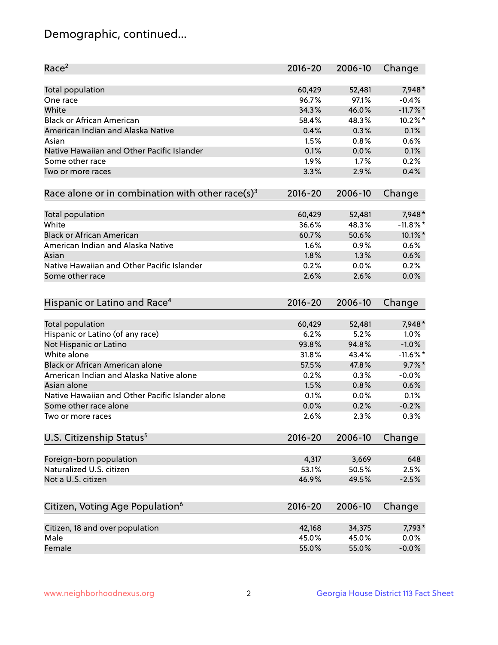## Demographic, continued...

| Race <sup>2</sup>                                            | $2016 - 20$ | 2006-10 | Change      |
|--------------------------------------------------------------|-------------|---------|-------------|
| <b>Total population</b>                                      | 60,429      | 52,481  | 7,948*      |
| One race                                                     | 96.7%       | 97.1%   | $-0.4%$     |
| White                                                        | 34.3%       | 46.0%   | $-11.7\%$ * |
| <b>Black or African American</b>                             | 58.4%       | 48.3%   | $10.2\%$ *  |
| American Indian and Alaska Native                            | 0.4%        | 0.3%    | 0.1%        |
| Asian                                                        | 1.5%        | 0.8%    | 0.6%        |
| Native Hawaiian and Other Pacific Islander                   | 0.1%        | 0.0%    | 0.1%        |
| Some other race                                              | 1.9%        | 1.7%    | 0.2%        |
| Two or more races                                            | 3.3%        | 2.9%    | 0.4%        |
|                                                              |             |         |             |
| Race alone or in combination with other race(s) <sup>3</sup> | $2016 - 20$ | 2006-10 | Change      |
| <b>Total population</b>                                      | 60,429      | 52,481  | 7,948*      |
| White                                                        | 36.6%       | 48.3%   | $-11.8\%$ * |
| <b>Black or African American</b>                             | 60.7%       | 50.6%   | 10.1%*      |
| American Indian and Alaska Native                            | 1.6%        | 0.9%    | 0.6%        |
| Asian                                                        | 1.8%        | 1.3%    | 0.6%        |
| Native Hawaiian and Other Pacific Islander                   | 0.2%        | 0.0%    | 0.2%        |
| Some other race                                              | 2.6%        | 2.6%    | 0.0%        |
|                                                              |             |         |             |
| Hispanic or Latino and Race <sup>4</sup>                     | $2016 - 20$ | 2006-10 | Change      |
| <b>Total population</b>                                      | 60,429      | 52,481  | 7,948*      |
| Hispanic or Latino (of any race)                             | 6.2%        | 5.2%    | 1.0%        |
| Not Hispanic or Latino                                       | 93.8%       | 94.8%   | $-1.0%$     |
| White alone                                                  | 31.8%       | 43.4%   | $-11.6\%$ * |
| Black or African American alone                              | 57.5%       | 47.8%   | $9.7\%$ *   |
| American Indian and Alaska Native alone                      | 0.2%        | 0.3%    | $-0.0%$     |
| Asian alone                                                  | 1.5%        | 0.8%    | 0.6%        |
| Native Hawaiian and Other Pacific Islander alone             | 0.1%        | 0.0%    | 0.1%        |
| Some other race alone                                        | 0.0%        | 0.2%    | $-0.2%$     |
| Two or more races                                            | 2.6%        | 2.3%    | 0.3%        |
| U.S. Citizenship Status <sup>5</sup>                         | 2016-20     | 2006-10 | Change      |
|                                                              |             |         |             |
| Foreign-born population                                      | 4,317       | 3,669   | 648         |
| Naturalized U.S. citizen                                     | 53.1%       | 50.5%   | 2.5%        |
| Not a U.S. citizen                                           | 46.9%       | 49.5%   | $-2.5%$     |
|                                                              |             |         |             |
| Citizen, Voting Age Population <sup>6</sup>                  | $2016 - 20$ | 2006-10 | Change      |
| Citizen, 18 and over population                              | 42,168      | 34,375  | 7,793*      |
| Male                                                         | 45.0%       | 45.0%   | 0.0%        |
| Female                                                       | 55.0%       | 55.0%   | $-0.0%$     |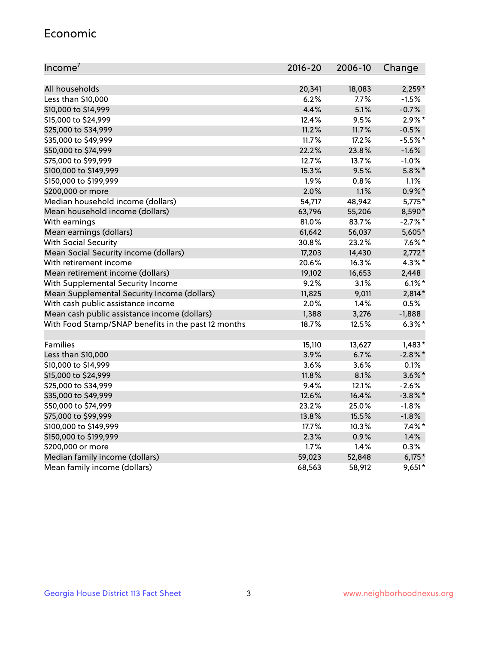#### Economic

| Income <sup>7</sup>                                 | $2016 - 20$ | 2006-10 | Change     |
|-----------------------------------------------------|-------------|---------|------------|
|                                                     |             |         |            |
| All households                                      | 20,341      | 18,083  | $2,259*$   |
| Less than \$10,000                                  | 6.2%        | 7.7%    | $-1.5%$    |
| \$10,000 to \$14,999                                | 4.4%        | 5.1%    | $-0.7%$    |
| \$15,000 to \$24,999                                | 12.4%       | 9.5%    | $2.9\%*$   |
| \$25,000 to \$34,999                                | 11.2%       | 11.7%   | $-0.5%$    |
| \$35,000 to \$49,999                                | 11.7%       | 17.2%   | $-5.5%$ *  |
| \$50,000 to \$74,999                                | 22.2%       | 23.8%   | $-1.6%$    |
| \$75,000 to \$99,999                                | 12.7%       | 13.7%   | $-1.0%$    |
| \$100,000 to \$149,999                              | 15.3%       | 9.5%    | $5.8\%$ *  |
| \$150,000 to \$199,999                              | 1.9%        | 0.8%    | 1.1%       |
| \$200,000 or more                                   | 2.0%        | 1.1%    | $0.9\%$ *  |
| Median household income (dollars)                   | 54,717      | 48,942  | $5,775*$   |
| Mean household income (dollars)                     | 63,796      | 55,206  | 8,590*     |
| With earnings                                       | 81.0%       | 83.7%   | $-2.7%$ *  |
| Mean earnings (dollars)                             | 61,642      | 56,037  | 5,605*     |
| <b>With Social Security</b>                         | 30.8%       | 23.2%   | $7.6\%$ *  |
| Mean Social Security income (dollars)               | 17,203      | 14,430  | $2,772*$   |
| With retirement income                              | 20.6%       | 16.3%   | $4.3\%$ *  |
| Mean retirement income (dollars)                    | 19,102      | 16,653  | 2,448      |
| With Supplemental Security Income                   | 9.2%        | $3.1\%$ | $6.1\%$ *  |
| Mean Supplemental Security Income (dollars)         | 11,825      | 9,011   | 2,814*     |
| With cash public assistance income                  | 2.0%        | 1.4%    | 0.5%       |
| Mean cash public assistance income (dollars)        | 1,388       | 3,276   | $-1,888$   |
| With Food Stamp/SNAP benefits in the past 12 months | 18.7%       | 12.5%   | $6.3\%$ *  |
|                                                     |             |         |            |
| Families                                            | 15,110      | 13,627  | $1,483*$   |
| Less than \$10,000                                  | 3.9%        | 6.7%    | $-2.8\%$ * |
| \$10,000 to \$14,999                                | 3.6%        | 3.6%    | 0.1%       |
| \$15,000 to \$24,999                                | 11.8%       | 8.1%    | $3.6\%$ *  |
| \$25,000 to \$34,999                                | 9.4%        | 12.1%   | $-2.6%$    |
| \$35,000 to \$49,999                                | 12.6%       | 16.4%   | $-3.8\%$ * |
| \$50,000 to \$74,999                                | 23.2%       | 25.0%   | $-1.8%$    |
| \$75,000 to \$99,999                                | 13.8%       | 15.5%   | $-1.8%$    |
| \$100,000 to \$149,999                              | 17.7%       | 10.3%   | $7.4\%$ *  |
| \$150,000 to \$199,999                              | 2.3%        | 0.9%    | 1.4%       |
| \$200,000 or more                                   | 1.7%        | 1.4%    | 0.3%       |
| Median family income (dollars)                      | 59,023      | 52,848  | $6,175*$   |
| Mean family income (dollars)                        | 68,563      | 58,912  | $9,651*$   |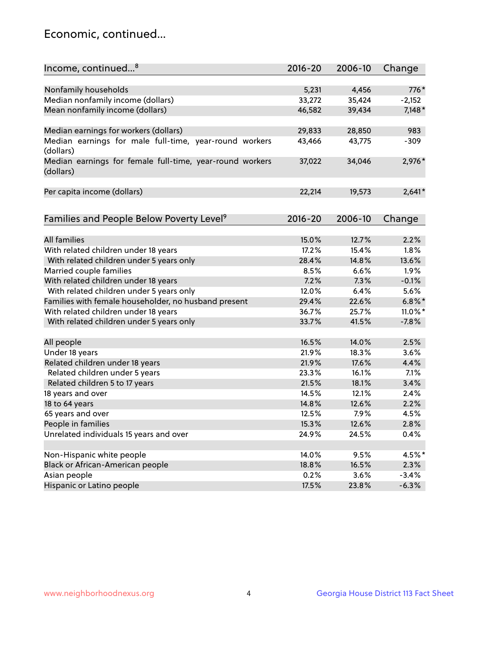## Economic, continued...

| Income, continued <sup>8</sup>                                        | $2016 - 20$ | 2006-10 | Change     |
|-----------------------------------------------------------------------|-------------|---------|------------|
|                                                                       |             |         |            |
| Nonfamily households                                                  | 5,231       | 4,456   | 776*       |
| Median nonfamily income (dollars)                                     | 33,272      | 35,424  | $-2,152$   |
| Mean nonfamily income (dollars)                                       | 46,582      | 39,434  | $7,148*$   |
| Median earnings for workers (dollars)                                 | 29,833      | 28,850  | 983        |
| Median earnings for male full-time, year-round workers                | 43,466      | 43,775  | $-309$     |
| (dollars)                                                             |             |         |            |
| Median earnings for female full-time, year-round workers<br>(dollars) | 37,022      | 34,046  | 2,976*     |
| Per capita income (dollars)                                           | 22,214      | 19,573  | $2,641*$   |
|                                                                       |             |         |            |
| Families and People Below Poverty Level <sup>9</sup>                  | $2016 - 20$ | 2006-10 | Change     |
| <b>All families</b>                                                   |             |         |            |
|                                                                       | 15.0%       | 12.7%   | 2.2%       |
| With related children under 18 years                                  | 17.2%       | 15.4%   | 1.8%       |
| With related children under 5 years only                              | 28.4%       | 14.8%   | 13.6%      |
| Married couple families                                               | 8.5%        | 6.6%    | 1.9%       |
| With related children under 18 years                                  | 7.2%        | 7.3%    | $-0.1%$    |
| With related children under 5 years only                              | 12.0%       | 6.4%    | 5.6%       |
| Families with female householder, no husband present                  | 29.4%       | 22.6%   | $6.8\%$ *  |
| With related children under 18 years                                  | 36.7%       | 25.7%   | $11.0\%$ * |
| With related children under 5 years only                              | 33.7%       | 41.5%   | $-7.8%$    |
| All people                                                            | 16.5%       | 14.0%   | 2.5%       |
| Under 18 years                                                        | 21.9%       | 18.3%   | 3.6%       |
| Related children under 18 years                                       | 21.9%       | 17.6%   | 4.4%       |
| Related children under 5 years                                        | 23.3%       | 16.1%   | 7.1%       |
| Related children 5 to 17 years                                        | 21.5%       | 18.1%   | 3.4%       |
| 18 years and over                                                     | 14.5%       | 12.1%   | 2.4%       |
| 18 to 64 years                                                        | 14.8%       | 12.6%   | 2.2%       |
| 65 years and over                                                     | 12.5%       | 7.9%    | 4.5%       |
| People in families                                                    | 15.3%       | 12.6%   | 2.8%       |
| Unrelated individuals 15 years and over                               | 24.9%       | 24.5%   | 0.4%       |
|                                                                       |             |         |            |
| Non-Hispanic white people                                             | 14.0%       | 9.5%    | 4.5%*      |
| Black or African-American people                                      | 18.8%       | 16.5%   | 2.3%       |
| Asian people                                                          | 0.2%        | 3.6%    | $-3.4%$    |
| Hispanic or Latino people                                             | 17.5%       | 23.8%   | $-6.3%$    |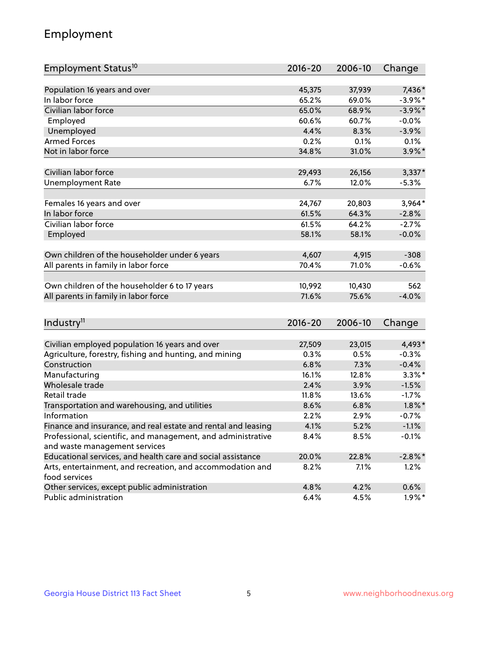## Employment

| Employment Status <sup>10</sup>                               | $2016 - 20$     | 2006-10         | Change     |
|---------------------------------------------------------------|-----------------|-----------------|------------|
|                                                               |                 |                 |            |
| Population 16 years and over                                  | 45,375          | 37,939          | 7,436*     |
| In labor force                                                | 65.2%           | 69.0%           | $-3.9\%$ * |
| Civilian labor force                                          | 65.0%           | 68.9%           | $-3.9\%$ * |
| Employed                                                      | 60.6%           | 60.7%           | $-0.0%$    |
| Unemployed                                                    | 4.4%            | 8.3%            | $-3.9%$    |
| <b>Armed Forces</b>                                           | 0.2%            | 0.1%            | 0.1%       |
| Not in labor force                                            | 34.8%           | 31.0%           | $3.9\%$ *  |
| Civilian labor force                                          | 29,493          | 26,156          | $3,337*$   |
|                                                               | 6.7%            | 12.0%           | $-5.3%$    |
| <b>Unemployment Rate</b>                                      |                 |                 |            |
| Females 16 years and over                                     | 24,767          | 20,803          | $3,964*$   |
| In labor force                                                | 61.5%           | 64.3%           | $-2.8%$    |
| Civilian labor force                                          | 61.5%           | 64.2%           | $-2.7%$    |
| Employed                                                      | 58.1%           | 58.1%           | $-0.0%$    |
|                                                               |                 |                 |            |
| Own children of the householder under 6 years                 | 4,607           | 4,915           | $-308$     |
| All parents in family in labor force                          | 70.4%           | 71.0%           | $-0.6%$    |
| Own children of the householder 6 to 17 years                 |                 |                 | 562        |
|                                                               | 10,992<br>71.6% | 10,430<br>75.6% | $-4.0%$    |
| All parents in family in labor force                          |                 |                 |            |
|                                                               |                 |                 |            |
| Industry <sup>11</sup>                                        | $2016 - 20$     | 2006-10         | Change     |
| Civilian employed population 16 years and over                | 27,509          | 23,015          | 4,493*     |
| Agriculture, forestry, fishing and hunting, and mining        | 0.3%            | 0.5%            | $-0.3%$    |
| Construction                                                  | 6.8%            | 7.3%            | $-0.4%$    |
| Manufacturing                                                 | 16.1%           | 12.8%           | $3.3\%$ *  |
| Wholesale trade                                               | 2.4%            | 3.9%            | $-1.5%$    |
| Retail trade                                                  | 11.8%           | 13.6%           | $-1.7%$    |
| Transportation and warehousing, and utilities                 | 8.6%            | 6.8%            | $1.8\%$ *  |
| Information                                                   | 2.2%            | 2.9%            | $-0.7%$    |
| Finance and insurance, and real estate and rental and leasing | 4.1%            | 5.2%            | $-1.1%$    |
| Professional, scientific, and management, and administrative  | 8.4%            | 8.5%            | $-0.1%$    |
| and waste management services                                 |                 |                 |            |
| Educational services, and health care and social assistance   | 20.0%           | 22.8%           | $-2.8\%$ * |
| Arts, entertainment, and recreation, and accommodation and    | 8.2%            | 7.1%            | 1.2%       |
| food services                                                 |                 |                 |            |
| Other services, except public administration                  | 4.8%            | 4.2%            | 0.6%       |
| Public administration                                         | 6.4%            | 4.5%            | $1.9\%$ *  |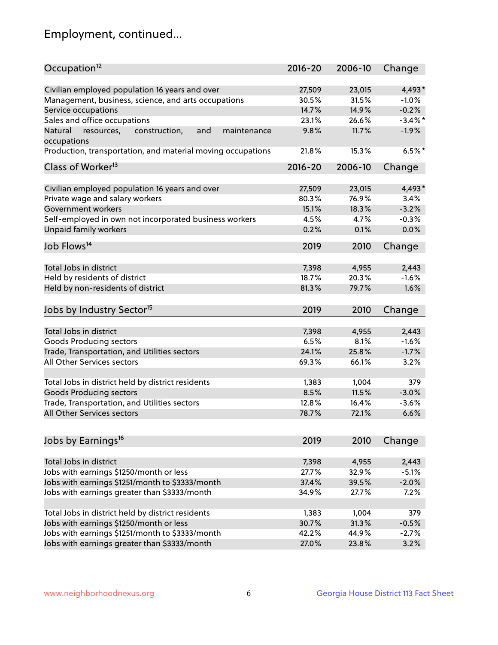## Employment, continued...

| Occupation <sup>12</sup>                                                    | $2016 - 20$ | 2006-10 | Change     |
|-----------------------------------------------------------------------------|-------------|---------|------------|
| Civilian employed population 16 years and over                              | 27,509      | 23,015  | 4,493*     |
| Management, business, science, and arts occupations                         | 30.5%       | 31.5%   | $-1.0%$    |
| Service occupations                                                         | 14.7%       | 14.9%   | $-0.2%$    |
| Sales and office occupations                                                | 23.1%       | 26.6%   | $-3.4\%$ * |
|                                                                             |             |         |            |
| Natural<br>and<br>resources,<br>construction,<br>maintenance<br>occupations | 9.8%        | 11.7%   | $-1.9%$    |
| Production, transportation, and material moving occupations                 | 21.8%       | 15.3%   | $6.5%$ *   |
| Class of Worker <sup>13</sup>                                               | $2016 - 20$ | 2006-10 | Change     |
| Civilian employed population 16 years and over                              | 27,509      | 23,015  | 4,493*     |
| Private wage and salary workers                                             | 80.3%       | 76.9%   | 3.4%       |
| Government workers                                                          | 15.1%       | 18.3%   | $-3.2%$    |
| Self-employed in own not incorporated business workers                      | 4.5%        | 4.7%    | $-0.3%$    |
| <b>Unpaid family workers</b>                                                | 0.2%        | 0.1%    | 0.0%       |
|                                                                             |             |         |            |
| Job Flows <sup>14</sup>                                                     | 2019        | 2010    | Change     |
| Total Jobs in district                                                      | 7,398       | 4,955   | 2,443      |
| Held by residents of district                                               | 18.7%       | 20.3%   | $-1.6%$    |
| Held by non-residents of district                                           | 81.3%       | 79.7%   | 1.6%       |
|                                                                             |             |         |            |
| Jobs by Industry Sector <sup>15</sup>                                       | 2019        | 2010    | Change     |
| Total Jobs in district                                                      | 7,398       | 4,955   | 2,443      |
| Goods Producing sectors                                                     | 6.5%        | 8.1%    | $-1.6%$    |
| Trade, Transportation, and Utilities sectors                                | 24.1%       | 25.8%   | $-1.7%$    |
| All Other Services sectors                                                  | 69.3%       | 66.1%   | 3.2%       |
|                                                                             |             |         |            |
| Total Jobs in district held by district residents                           | 1,383       | 1,004   | 379        |
| <b>Goods Producing sectors</b>                                              | 8.5%        | 11.5%   | $-3.0%$    |
| Trade, Transportation, and Utilities sectors                                | 12.8%       | 16.4%   | $-3.6%$    |
| All Other Services sectors                                                  | 78.7%       | 72.1%   | 6.6%       |
|                                                                             |             |         |            |
| Jobs by Earnings <sup>16</sup>                                              | 2019        | 2010    | Change     |
| Total Jobs in district                                                      | 7,398       | 4,955   | 2,443      |
| Jobs with earnings \$1250/month or less                                     | 27.7%       | 32.9%   | $-5.1%$    |
| Jobs with earnings \$1251/month to \$3333/month                             | 37.4%       | 39.5%   | $-2.0%$    |
| Jobs with earnings greater than \$3333/month                                | 34.9%       | 27.7%   | 7.2%       |
|                                                                             |             |         |            |
| Total Jobs in district held by district residents                           | 1,383       | 1,004   | 379        |
| Jobs with earnings \$1250/month or less                                     | 30.7%       | 31.3%   | $-0.5%$    |
| Jobs with earnings \$1251/month to \$3333/month                             | 42.2%       | 44.9%   | $-2.7%$    |
| Jobs with earnings greater than \$3333/month                                | 27.0%       | 23.8%   | 3.2%       |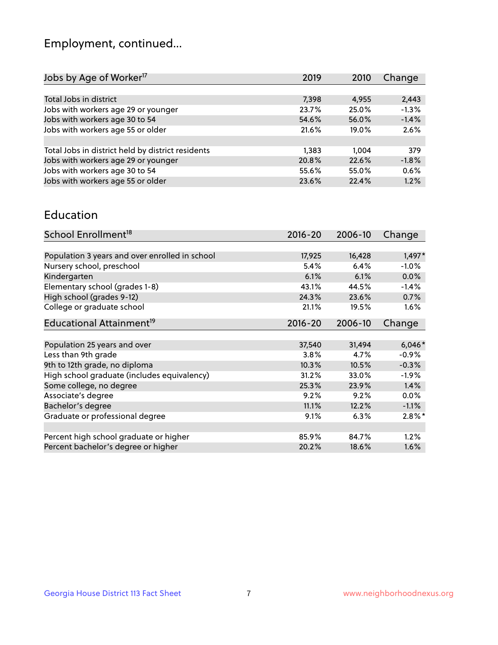## Employment, continued...

| 2019  | 2010  | Change  |
|-------|-------|---------|
|       |       |         |
| 7,398 | 4,955 | 2,443   |
| 23.7% | 25.0% | $-1.3%$ |
| 54.6% | 56.0% | $-1.4%$ |
| 21.6% | 19.0% | 2.6%    |
|       |       |         |
| 1,383 | 1,004 | 379     |
| 20.8% | 22.6% | $-1.8%$ |
| 55.6% | 55.0% | 0.6%    |
| 23.6% | 22.4% | 1.2%    |
|       |       |         |

#### Education

| School Enrollment <sup>18</sup>                | $2016 - 20$ | 2006-10 | Change    |
|------------------------------------------------|-------------|---------|-----------|
|                                                |             |         |           |
| Population 3 years and over enrolled in school | 17,925      | 16,428  | $1,497*$  |
| Nursery school, preschool                      | 5.4%        | 6.4%    | $-1.0%$   |
| Kindergarten                                   | 6.1%        | 6.1%    | 0.0%      |
| Elementary school (grades 1-8)                 | 43.1%       | 44.5%   | $-1.4%$   |
| High school (grades 9-12)                      | 24.3%       | 23.6%   | 0.7%      |
| College or graduate school                     | 21.1%       | 19.5%   | 1.6%      |
| Educational Attainment <sup>19</sup>           | $2016 - 20$ | 2006-10 | Change    |
|                                                |             |         |           |
| Population 25 years and over                   | 37,540      | 31,494  | $6,046*$  |
| Less than 9th grade                            | 3.8%        | 4.7%    | $-0.9\%$  |
| 9th to 12th grade, no diploma                  | 10.3%       | 10.5%   | $-0.3%$   |
| High school graduate (includes equivalency)    | 31.2%       | 33.0%   | $-1.9\%$  |
| Some college, no degree                        | 25.3%       | 23.9%   | 1.4%      |
| Associate's degree                             | 9.2%        | 9.2%    | 0.0%      |
| Bachelor's degree                              | 11.1%       | 12.2%   | $-1.1%$   |
| Graduate or professional degree                | 9.1%        | 6.3%    | $2.8\%$ * |
|                                                |             |         |           |
| Percent high school graduate or higher         | 85.9%       | 84.7%   | 1.2%      |
| Percent bachelor's degree or higher            | 20.2%       | 18.6%   | 1.6%      |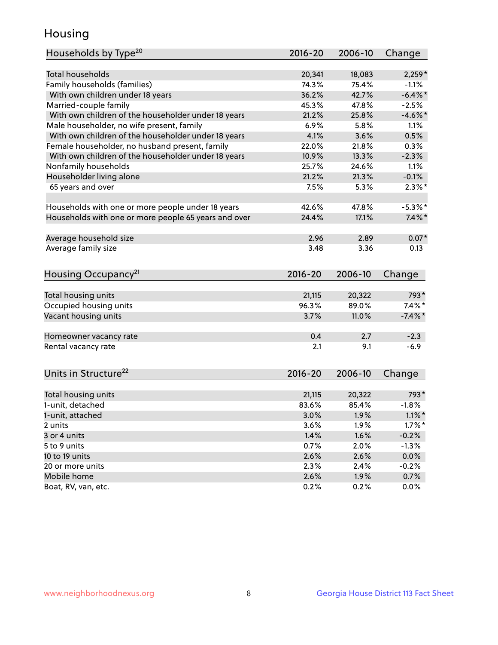## Housing

| Households by Type <sup>20</sup>                     | 2016-20     | 2006-10    | Change           |
|------------------------------------------------------|-------------|------------|------------------|
|                                                      |             |            |                  |
| <b>Total households</b>                              | 20,341      | 18,083     | $2,259*$         |
| Family households (families)                         | 74.3%       | 75.4%      | $-1.1%$          |
| With own children under 18 years                     | 36.2%       | 42.7%      | $-6.4\%$ *       |
| Married-couple family                                | 45.3%       | 47.8%      | $-2.5%$          |
| With own children of the householder under 18 years  | 21.2%       | 25.8%      | $-4.6\%$ *       |
| Male householder, no wife present, family            | 6.9%        | 5.8%       | 1.1%             |
| With own children of the householder under 18 years  | 4.1%        | 3.6%       | 0.5%             |
| Female householder, no husband present, family       | 22.0%       | 21.8%      | 0.3%             |
| With own children of the householder under 18 years  | 10.9%       | 13.3%      | $-2.3%$          |
| Nonfamily households                                 | 25.7%       | 24.6%      | 1.1%             |
| Householder living alone                             | 21.2%       | 21.3%      | $-0.1%$          |
| 65 years and over                                    | 7.5%        | 5.3%       | $2.3\%$ *        |
|                                                      |             |            |                  |
| Households with one or more people under 18 years    | 42.6%       | 47.8%      | $-5.3\%$ *       |
| Households with one or more people 65 years and over | 24.4%       | 17.1%      | $7.4\%$ *        |
|                                                      |             |            |                  |
| Average household size                               | 2.96        | 2.89       | $0.07*$          |
| Average family size                                  | 3.48        | 3.36       | 0.13             |
|                                                      |             |            |                  |
| Housing Occupancy <sup>21</sup>                      | $2016 - 20$ | 2006-10    | Change           |
|                                                      |             |            |                  |
| Total housing units                                  | 21,115      | 20,322     | 793*             |
| Occupied housing units                               | 96.3%       | 89.0%      | $7.4\%$ *        |
| Vacant housing units                                 | 3.7%        | 11.0%      | $-7.4\%$ *       |
|                                                      |             |            |                  |
| Homeowner vacancy rate                               | 0.4<br>2.1  | 2.7<br>9.1 | $-2.3$<br>$-6.9$ |
| Rental vacancy rate                                  |             |            |                  |
| Units in Structure <sup>22</sup>                     | $2016 - 20$ | 2006-10    | Change           |
|                                                      |             |            |                  |
| Total housing units                                  | 21,115      | 20,322     | 793*             |
| 1-unit, detached                                     | 83.6%       | 85.4%      | $-1.8%$          |
| 1-unit, attached                                     | 3.0%        | 1.9%       | $1.1\%$ *        |
| 2 units                                              | 3.6%        | 1.9%       | $1.7\%$ *        |
| 3 or 4 units                                         | 1.4%        | 1.6%       | $-0.2%$          |
| 5 to 9 units                                         | 0.7%        | 2.0%       | $-1.3%$          |
| 10 to 19 units                                       | 2.6%        | 2.6%       | 0.0%             |
| 20 or more units                                     | 2.3%        | 2.4%       | $-0.2%$          |
| Mobile home                                          | 2.6%        | 1.9%       | 0.7%             |
| Boat, RV, van, etc.                                  | 0.2%        | 0.2%       | 0.0%             |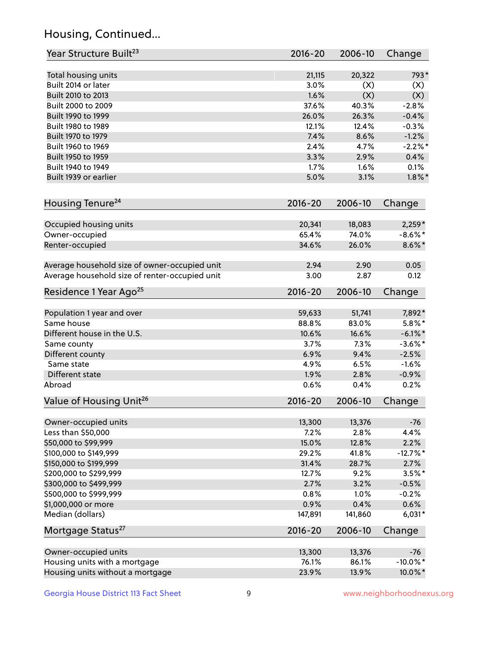## Housing, Continued...

| Year Structure Built <sup>23</sup>             | 2016-20     | 2006-10 | Change      |
|------------------------------------------------|-------------|---------|-------------|
| Total housing units                            | 21,115      | 20,322  | 793*        |
| Built 2014 or later                            | 3.0%        | (X)     | (X)         |
| Built 2010 to 2013                             | 1.6%        | (X)     | (X)         |
| Built 2000 to 2009                             | 37.6%       | 40.3%   | $-2.8%$     |
| Built 1990 to 1999                             | 26.0%       | 26.3%   | $-0.4%$     |
| Built 1980 to 1989                             | 12.1%       | 12.4%   | $-0.3%$     |
| Built 1970 to 1979                             | 7.4%        | 8.6%    | $-1.2%$     |
| Built 1960 to 1969                             | 2.4%        | 4.7%    | $-2.2\%$ *  |
| Built 1950 to 1959                             | 3.3%        | 2.9%    | 0.4%        |
| Built 1940 to 1949                             | 1.7%        | 1.6%    | 0.1%        |
| Built 1939 or earlier                          | 5.0%        | 3.1%    | $1.8\%$ *   |
| Housing Tenure <sup>24</sup>                   | $2016 - 20$ | 2006-10 | Change      |
|                                                |             |         |             |
| Occupied housing units                         | 20,341      | 18,083  | $2,259*$    |
| Owner-occupied                                 | 65.4%       | 74.0%   | $-8.6\%$ *  |
| Renter-occupied                                | 34.6%       | 26.0%   | $8.6\% *$   |
| Average household size of owner-occupied unit  | 2.94        | 2.90    | 0.05        |
| Average household size of renter-occupied unit | 3.00        | 2.87    | 0.12        |
| Residence 1 Year Ago <sup>25</sup>             | $2016 - 20$ | 2006-10 | Change      |
| Population 1 year and over                     | 59,633      | 51,741  | 7,892*      |
| Same house                                     | 88.8%       | 83.0%   | $5.8\%$ *   |
| Different house in the U.S.                    | 10.6%       | 16.6%   | $-6.1\%$ *  |
| Same county                                    | 3.7%        | 7.3%    | $-3.6\%$ *  |
| Different county                               | 6.9%        | 9.4%    | $-2.5%$     |
| Same state                                     | 4.9%        | 6.5%    | $-1.6%$     |
| Different state                                | 1.9%        | 2.8%    | $-0.9%$     |
| Abroad                                         | 0.6%        | 0.4%    | 0.2%        |
| Value of Housing Unit <sup>26</sup>            | $2016 - 20$ | 2006-10 | Change      |
|                                                |             |         |             |
| Owner-occupied units                           | 13,300      | 13,376  | $-76$       |
| Less than \$50,000                             | 7.2%        | 2.8%    | 4.4%        |
| \$50,000 to \$99,999                           | 15.0%       | 12.8%   | 2.2%        |
| \$100,000 to \$149,999                         | 29.2%       | 41.8%   | $-12.7%$ *  |
| \$150,000 to \$199,999                         | 31.4%       | 28.7%   | 2.7%        |
| \$200,000 to \$299,999                         | 12.7%       | 9.2%    | $3.5\%$ *   |
| \$300,000 to \$499,999                         | 2.7%        | 3.2%    | $-0.5%$     |
| \$500,000 to \$999,999                         | 0.8%        | 1.0%    | $-0.2%$     |
| \$1,000,000 or more                            | 0.9%        | 0.4%    | 0.6%        |
| Median (dollars)                               | 147,891     | 141,860 | $6,031*$    |
| Mortgage Status <sup>27</sup>                  | $2016 - 20$ | 2006-10 | Change      |
| Owner-occupied units                           | 13,300      | 13,376  | $-76$       |
| Housing units with a mortgage                  | 76.1%       | 86.1%   | $-10.0\%$ * |
| Housing units without a mortgage               | 23.9%       | 13.9%   | 10.0%*      |
|                                                |             |         |             |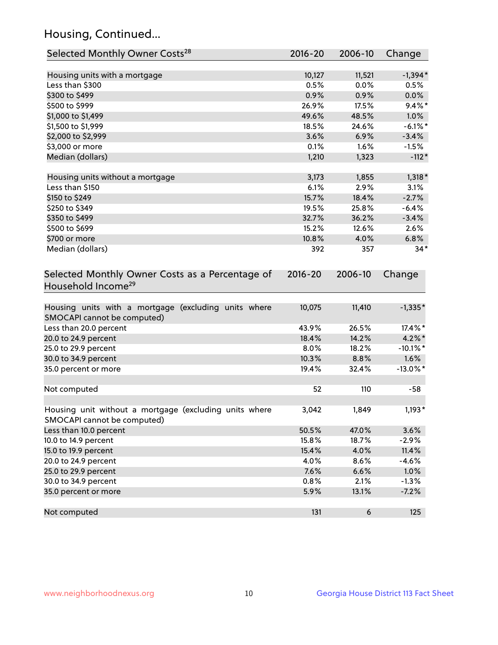## Housing, Continued...

| Selected Monthly Owner Costs <sup>28</sup>                                            | 2016-20     | 2006-10 | Change      |
|---------------------------------------------------------------------------------------|-------------|---------|-------------|
| Housing units with a mortgage                                                         | 10,127      | 11,521  | $-1,394*$   |
| Less than \$300                                                                       | 0.5%        | 0.0%    | 0.5%        |
| \$300 to \$499                                                                        | 0.9%        | 0.9%    | 0.0%        |
| \$500 to \$999                                                                        | 26.9%       | 17.5%   | $9.4\%$ *   |
| \$1,000 to \$1,499                                                                    | 49.6%       | 48.5%   | 1.0%        |
| \$1,500 to \$1,999                                                                    | 18.5%       | 24.6%   | $-6.1\%$ *  |
| \$2,000 to \$2,999                                                                    | 3.6%        | 6.9%    | $-3.4%$     |
| \$3,000 or more                                                                       | 0.1%        | 1.6%    | $-1.5%$     |
| Median (dollars)                                                                      | 1,210       | 1,323   | $-112*$     |
| Housing units without a mortgage                                                      | 3,173       | 1,855   | 1,318 *     |
| Less than \$150                                                                       | 6.1%        | 2.9%    | 3.1%        |
| \$150 to \$249                                                                        | 15.7%       | 18.4%   | $-2.7%$     |
| \$250 to \$349                                                                        | 19.5%       | 25.8%   | $-6.4%$     |
| \$350 to \$499                                                                        | 32.7%       | 36.2%   | $-3.4%$     |
| \$500 to \$699                                                                        | 15.2%       | 12.6%   | 2.6%        |
| \$700 or more                                                                         | 10.8%       | 4.0%    | 6.8%        |
| Median (dollars)                                                                      | 392         | 357     | $34*$       |
| Selected Monthly Owner Costs as a Percentage of<br>Household Income <sup>29</sup>     | $2016 - 20$ | 2006-10 | Change      |
| Housing units with a mortgage (excluding units where<br>SMOCAPI cannot be computed)   | 10,075      | 11,410  | $-1,335*$   |
| Less than 20.0 percent                                                                | 43.9%       | 26.5%   | 17.4%*      |
| 20.0 to 24.9 percent                                                                  | 18.4%       | 14.2%   | $4.2\%$ *   |
| 25.0 to 29.9 percent                                                                  | 8.0%        | 18.2%   | $-10.1\%$ * |
| 30.0 to 34.9 percent                                                                  | 10.3%       | 8.8%    | 1.6%        |
| 35.0 percent or more                                                                  | 19.4%       | 32.4%   | $-13.0\%$ * |
| Not computed                                                                          | 52          | 110     | $-58$       |
| Housing unit without a mortgage (excluding units where<br>SMOCAPI cannot be computed) | 3,042       | 1,849   | $1,193*$    |
| Less than 10.0 percent                                                                | 50.5%       | 47.0%   | 3.6%        |
| 10.0 to 14.9 percent                                                                  | 15.8%       | 18.7%   | $-2.9%$     |
| 15.0 to 19.9 percent                                                                  | 15.4%       | 4.0%    | 11.4%       |
| 20.0 to 24.9 percent                                                                  | 4.0%        | 8.6%    | $-4.6%$     |
| 25.0 to 29.9 percent                                                                  | 7.6%        | 6.6%    | 1.0%        |
| 30.0 to 34.9 percent                                                                  | 0.8%        | 2.1%    | $-1.3%$     |
| 35.0 percent or more                                                                  | 5.9%        | 13.1%   | $-7.2%$     |
| Not computed                                                                          | 131         | 6       | 125         |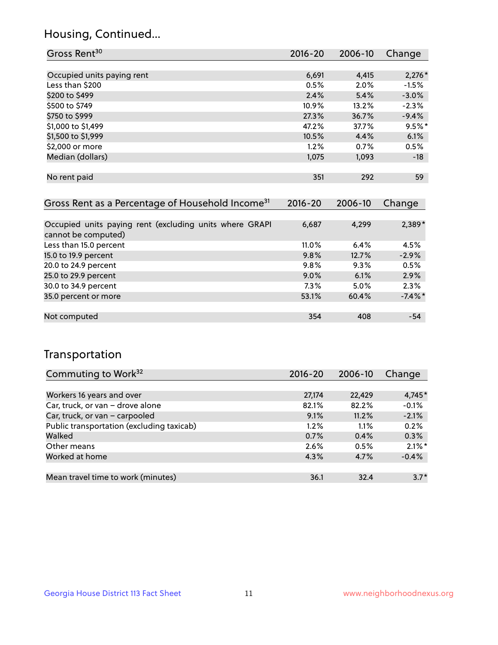## Housing, Continued...

| Gross Rent <sup>30</sup>                                     | 2016-20     | 2006-10     | Change   |
|--------------------------------------------------------------|-------------|-------------|----------|
|                                                              |             |             |          |
| Occupied units paying rent                                   | 6,691       | 4,415       | $2,276*$ |
| Less than \$200                                              | 0.5%        | $2.0\%$     | $-1.5%$  |
| \$200 to \$499                                               | 2.4%        | 5.4%        | $-3.0%$  |
| \$500 to \$749                                               | $10.9\%$    | 13.2%       | $-2.3%$  |
| \$750 to \$999                                               | 27.3%       | 36.7%       | $-9.4%$  |
| \$1,000 to \$1,499                                           | 47.2%       | 37.7%       | $9.5%$ * |
| \$1,500 to \$1,999                                           | 10.5%       | 4.4%        | 6.1%     |
| \$2,000 or more                                              | 1.2%        | 0.7%        | 0.5%     |
| Median (dollars)                                             | 1,075       | 1,093       | $-18$    |
|                                                              |             |             |          |
| No rent paid                                                 | 351         | 292         | 59       |
|                                                              |             |             |          |
| Gross Rent as a Percentage of Household Income <sup>31</sup> | $2016 - 20$ | $2006 - 10$ | Change   |

| <u>UIUSS INCHIEDS &amp; I CITCONIQUE OF HOUSCHOIG INCOMIC</u>                  | LUIV LU  | LUUU IU | <b>STRIPS</b> |
|--------------------------------------------------------------------------------|----------|---------|---------------|
|                                                                                |          |         |               |
| Occupied units paying rent (excluding units where GRAPI<br>cannot be computed) | 6,687    | 4,299   | $2,389*$      |
| Less than 15.0 percent                                                         | $11.0\%$ | 6.4%    | 4.5%          |
| 15.0 to 19.9 percent                                                           | 9.8%     | 12.7%   | $-2.9%$       |
| 20.0 to 24.9 percent                                                           | 9.8%     | 9.3%    | 0.5%          |
| 25.0 to 29.9 percent                                                           | $9.0\%$  | 6.1%    | 2.9%          |
| 30.0 to 34.9 percent                                                           | $7.3\%$  | $5.0\%$ | 2.3%          |
| 35.0 percent or more                                                           | 53.1%    | 60.4%   | $-7.4\%$ *    |
|                                                                                |          |         |               |
| Not computed                                                                   | 354      | 408     | $-54$         |

### Transportation

| Commuting to Work <sup>32</sup>           | 2016-20 | 2006-10 | Change    |
|-------------------------------------------|---------|---------|-----------|
|                                           |         |         |           |
| Workers 16 years and over                 | 27,174  | 22,429  | 4,745*    |
| Car, truck, or van - drove alone          | 82.1%   | 82.2%   | $-0.1%$   |
| Car, truck, or van - carpooled            | 9.1%    | 11.2%   | $-2.1%$   |
| Public transportation (excluding taxicab) | 1.2%    | 1.1%    | 0.2%      |
| Walked                                    | 0.7%    | 0.4%    | 0.3%      |
| Other means                               | 2.6%    | 0.5%    | $2.1\%$ * |
| Worked at home                            | 4.3%    | 4.7%    | $-0.4%$   |
|                                           |         |         |           |
| Mean travel time to work (minutes)        | 36.1    | 32.4    | $3.7*$    |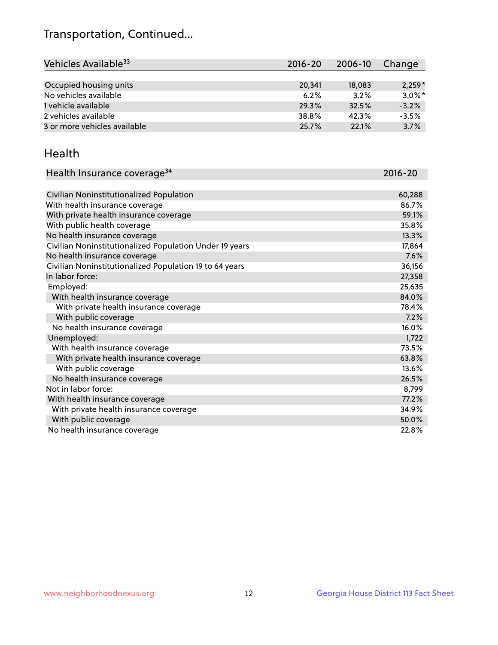## Transportation, Continued...

| Vehicles Available <sup>33</sup> | 2016-20 | 2006-10 | Change    |
|----------------------------------|---------|---------|-----------|
|                                  |         |         |           |
| Occupied housing units           | 20.341  | 18,083  | $2,259*$  |
| No vehicles available            | 6.2%    | 3.2%    | $3.0\%$ * |
| 1 vehicle available              | 29.3%   | 32.5%   | $-3.2%$   |
| 2 vehicles available             | 38.8%   | 42.3%   | $-3.5%$   |
| 3 or more vehicles available     | 25.7%   | 22.1%   | 3.7%      |

#### Health

| Health Insurance coverage <sup>34</sup>                 | 2016-20 |
|---------------------------------------------------------|---------|
|                                                         |         |
| Civilian Noninstitutionalized Population                | 60,288  |
| With health insurance coverage                          | 86.7%   |
| With private health insurance coverage                  | 59.1%   |
| With public health coverage                             | 35.8%   |
| No health insurance coverage                            | 13.3%   |
| Civilian Noninstitutionalized Population Under 19 years | 17,864  |
| No health insurance coverage                            | 7.6%    |
| Civilian Noninstitutionalized Population 19 to 64 years | 36,156  |
| In labor force:                                         | 27,358  |
| Employed:                                               | 25,635  |
| With health insurance coverage                          | 84.0%   |
| With private health insurance coverage                  | 78.4%   |
| With public coverage                                    | 7.2%    |
| No health insurance coverage                            | 16.0%   |
| Unemployed:                                             | 1,722   |
| With health insurance coverage                          | 73.5%   |
| With private health insurance coverage                  | 63.8%   |
| With public coverage                                    | 13.6%   |
| No health insurance coverage                            | 26.5%   |
| Not in labor force:                                     | 8,799   |
| With health insurance coverage                          | 77.2%   |
| With private health insurance coverage                  | 34.9%   |
| With public coverage                                    | 50.0%   |
| No health insurance coverage                            | 22.8%   |